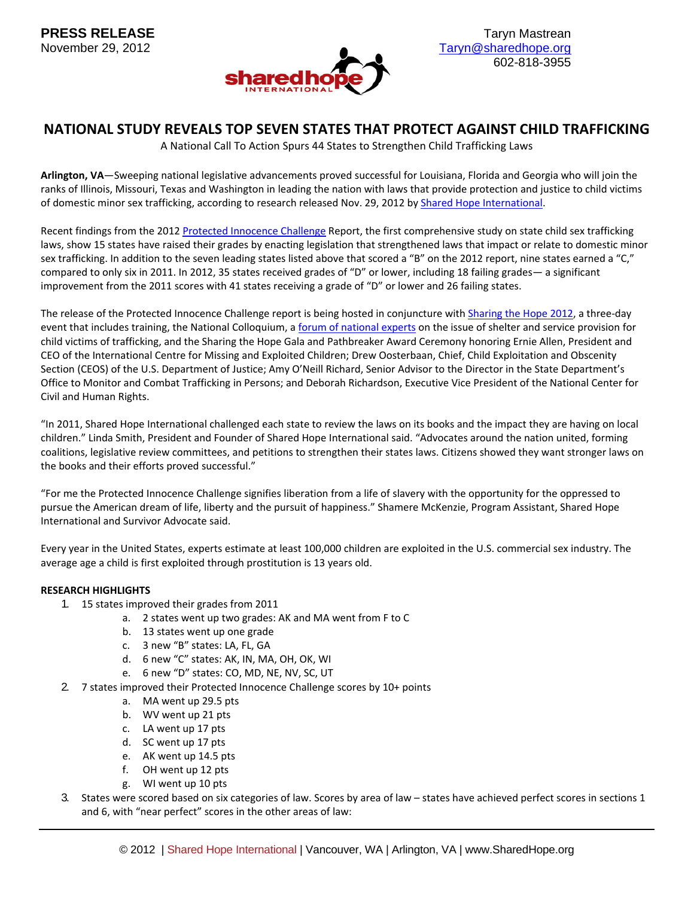

# **NATIONAL STUDY REVEALS TOP SEVEN STATES THAT PROTECT AGAINST CHILD TRAFFICKING**

A National Call To Action Spurs 44 States to Strengthen Child Trafficking Laws

**Arlington, VA**—Sweeping national legislative advancements proved successful for Louisiana, Florida and Georgia who will join the ranks of Illinois, Missouri, Texas and Washington in leading the nation with laws that provide protection and justice to child victims of domestic minor sex trafficking, according to research released Nov. 29, 2012 by Shared Hope International.

Recent findings from the 2012 Protected Innocence Challenge Report, the first comprehensive study on state child sex trafficking laws, show 15 states have raised their grades by enacting legislation that strengthened laws that impact or relate to domestic minor sex trafficking. In addition to the seven leading states listed above that scored a "B" on the 2012 report, nine states earned a "C," compared to only six in 2011. In 2012, 35 states received grades of "D" or lower, including 18 failing grades— a significant improvement from the 2011 scores with 41 states receiving a grade of "D" or lower and 26 failing states.

The release of the Protected Innocence Challenge report is being hosted in conjuncture with Sharing the Hope 2012, a three-day event that includes training, the National Colloquium, a forum of national experts on the issue of shelter and service provision for child victims of trafficking, and the Sharing the Hope Gala and Pathbreaker Award Ceremony honoring Ernie Allen, President and CEO of the International Centre for Missing and Exploited Children; Drew Oosterbaan, Chief, Child Exploitation and Obscenity Section (CEOS) of the U.S. Department of Justice; Amy O'Neill Richard, Senior Advisor to the Director in the State Department's Office to Monitor and Combat Trafficking in Persons; and Deborah Richardson, Executive Vice President of the National Center for Civil and Human Rights.

"In 2011, Shared Hope International challenged each state to review the laws on its books and the impact they are having on local children." Linda Smith, President and Founder of Shared Hope International said. "Advocates around the nation united, forming coalitions, legislative review committees, and petitions to strengthen their states laws. Citizens showed they want stronger laws on the books and their efforts proved successful."

"For me the Protected Innocence Challenge signifies liberation from a life of slavery with the opportunity for the oppressed to pursue the American dream of life, liberty and the pursuit of happiness." Shamere McKenzie, Program Assistant, Shared Hope International and Survivor Advocate said.

Every year in the United States, experts estimate at least 100,000 children are exploited in the U.S. commercial sex industry. The average age a child is first exploited through prostitution is 13 years old.

# **RESEARCH HIGHLIGHTS**

- 1. 15 states improved their grades from 2011
	- a. 2 states went up two grades: AK and MA went from F to C
	- b. 13 states went up one grade
	- c. 3 new "B" states: LA, FL, GA
	- d. 6 new "C" states: AK, IN, MA, OH, OK, WI
	- e. 6 new "D" states: CO, MD, NE, NV, SC, UT
- 2. 7 states improved their Protected Innocence Challenge scores by 10+ points
	- a. MA went up 29.5 pts
	- b. WV went up 21 pts
	- c. LA went up 17 pts
	- d. SC went up 17 pts
	- e. AK went up 14.5 pts
	- f. OH went up 12 pts
	- g. WI went up 10 pts
- 3. States were scored based on six categories of law. Scores by area of law states have achieved perfect scores in sections 1 and 6, with "near perfect" scores in the other areas of law: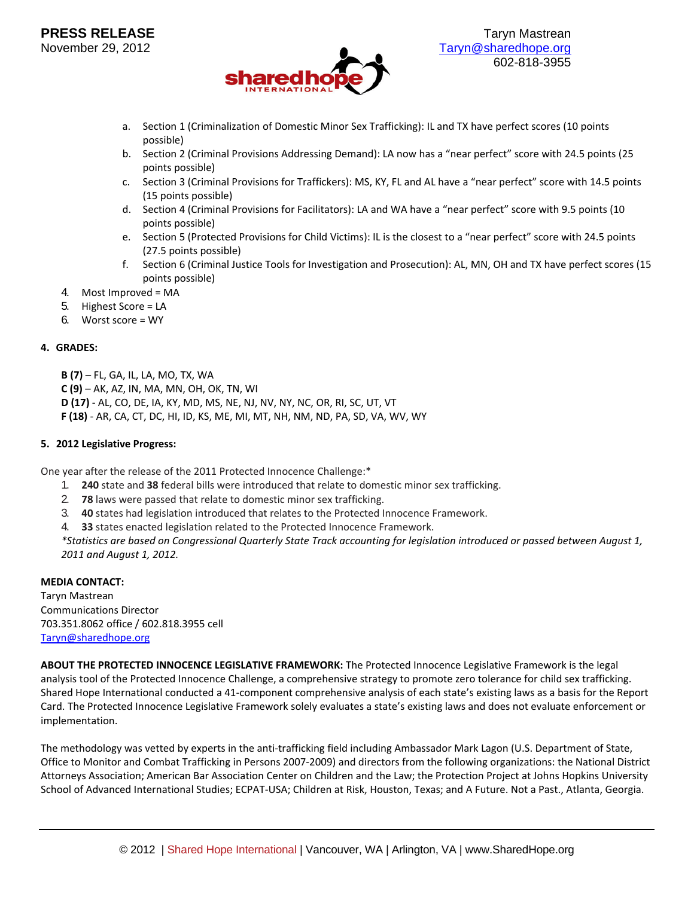

- a. Section 1 (Criminalization of Domestic Minor Sex Trafficking): IL and TX have perfect scores (10 points possible)
- b. Section 2 (Criminal Provisions Addressing Demand): LA now has a "near perfect" score with 24.5 points (25 points possible)
- c. Section 3 (Criminal Provisions for Traffickers): MS, KY, FL and AL have a "near perfect" score with 14.5 points (15 points possible)
- d. Section 4 (Criminal Provisions for Facilitators): LA and WA have a "near perfect" score with 9.5 points (10 points possible)
- e. Section 5 (Protected Provisions for Child Victims): IL is the closest to a "near perfect" score with 24.5 points (27.5 points possible)
- f. Section 6 (Criminal Justice Tools for Investigation and Prosecution): AL, MN, OH and TX have perfect scores (15 points possible)
- 4. Most Improved = MA
- 5. Highest Score = LA
- 6. Worst score = WY

# **4. GRADES:**

- **B (7)** FL, GA, IL, LA, MO, TX, WA
- **C (9)** AK, AZ, IN, MA, MN, OH, OK, TN, WI
- **D (17)** ‐ AL, CO, DE, IA, KY, MD, MS, NE, NJ, NV, NY, NC, OR, RI, SC, UT, VT
- **F (18)** ‐ AR, CA, CT, DC, HI, ID, KS, ME, MI, MT, NH, NM, ND, PA, SD, VA, WV, WY

# **5. 2012 Legislative Progress:**

One year after the release of the 2011 Protected Innocence Challenge:\*

- 1. **240** state and **38** federal bills were introduced that relate to domestic minor sex trafficking.
- 2. **78** laws were passed that relate to domestic minor sex trafficking.
- 3. **40** states had legislation introduced that relates to the Protected Innocence Framework.
- 4. **33** states enacted legislation related to the Protected Innocence Framework.

\*Statistics are based on Congressional Quarterly State Track accounting for legislation introduced or passed between August 1, *2011 and August 1, 2012.*

# **MEDIA CONTACT:**

Taryn Mastrean Communications Director 703.351.8062 office / 602.818.3955 cell Taryn@sharedhope.org

**ABOUT THE PROTECTED INNOCENCE LEGISLATIVE FRAMEWORK:** The Protected Innocence Legislative Framework is the legal analysis tool of the Protected Innocence Challenge, a comprehensive strategy to promote zero tolerance for child sex trafficking. Shared Hope International conducted a 41‐component comprehensive analysis of each state's existing laws as a basis for the Report Card. The Protected Innocence Legislative Framework solely evaluates a state's existing laws and does not evaluate enforcement or implementation.

The methodology was vetted by experts in the anti-trafficking field including Ambassador Mark Lagon (U.S. Department of State, Office to Monitor and Combat Trafficking in Persons 2007‐2009) and directors from the following organizations: the National District Attorneys Association; American Bar Association Center on Children and the Law; the Protection Project at Johns Hopkins University School of Advanced International Studies; ECPAT‐USA; Children at Risk, Houston, Texas; and A Future. Not a Past., Atlanta, Georgia.